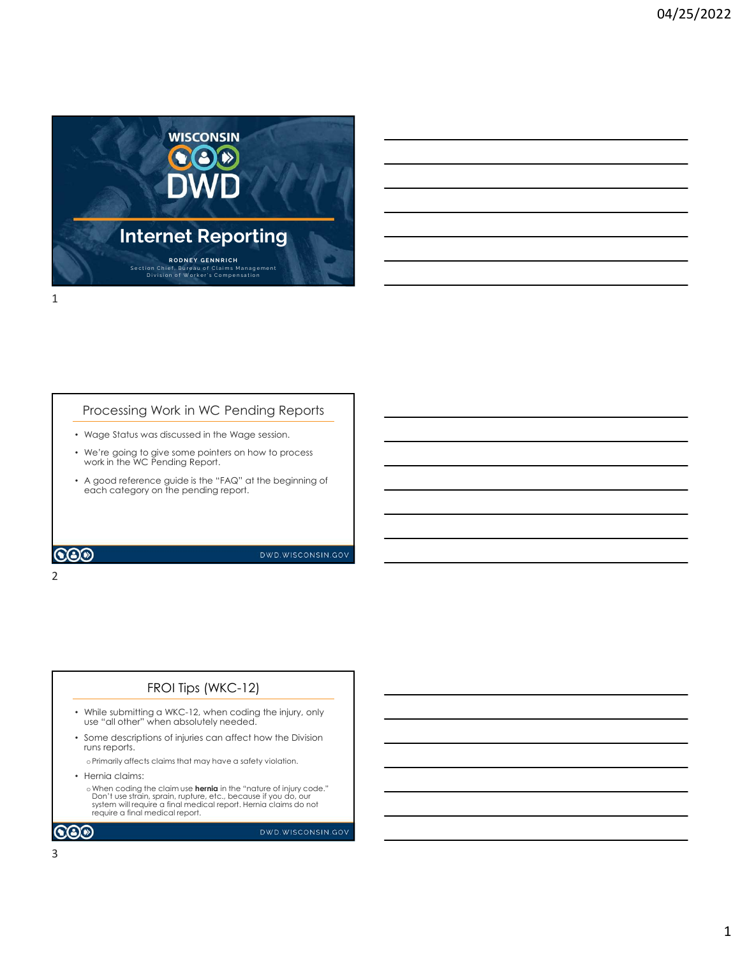

#### Processing Work in WC Pending Reports

• Wage Status was discussed in the Wage session.

2 and 2 and 2 and 2 and 2 and 2 and 2 and 2 and 2 and 2 and 2 and 2 and 2 and 2 and 2 and 2 and 2 and 2 and 2

- We're going to give some pointers on how to process work in the WC Pending Report.
- A good reference guide is the "FAQ" at the beginning of each category on the pending report.

#### **COD**

DWD.WISCONSIN.GOV

#### FROI Tips (WKC-12)

- While submitting a WKC-12, when coding the injury, only use "all other" when absolutely needed.
- Some descriptions of injuries can affect how the Division runs reports.

oPrimarily affects claims that may have a safety violation.

- Hernia claims:
- o When coding the claim use **hernia** in the "nature of injury code."<br>Don't use strain, sprain, rupture, etc., because if you do, our<br>system will require a final medical report. Hernia claims do not<br>require a final medical

 $\bigcircledS$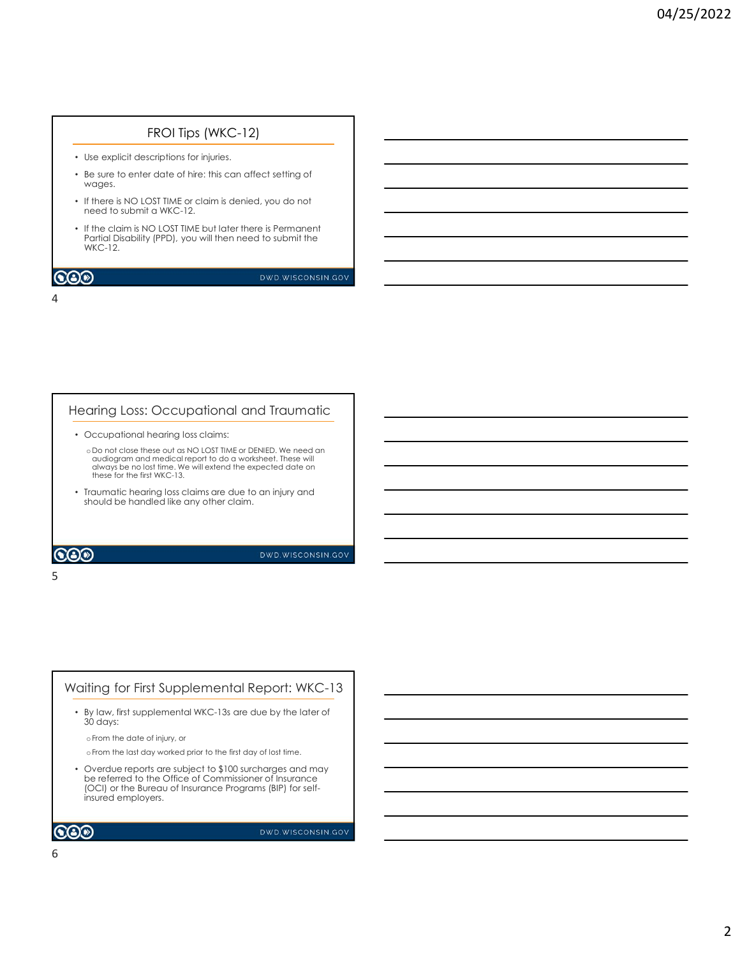#### FROI Tips (WKC-12)

- Use explicit descriptions for injuries.
- Be sure to enter date of hire: this can affect setting of wages.
- If there is NO LOST TIME or claim is denied, you do not need to submit a WKC-12.
- If the claim is NO LOST TIME but later there is Permanent Partial Disability (PPD), you will then need to submit the WKC-12.

#### $\bigcircledS$

DWD.WISCONSIN.GOV

#### 4

#### Hearing Loss: Occupational and Traumatic

• Occupational hearing loss claims:

 $5<sub>5</sub>$ 

o Do not close these out as NO LOST TIME or DENIED. We need an audiogram and medical report to do a worksheet. These will always be no lost time. We will extend the expected date on these for the first WKC-13.

• Traumatic hearing loss claims are due to an injury and should be handled like any other claim.

**COD** 

DWD.WISCONSIN.GOV

### • By law, first supplemental WKC-13s are due by the later of Waiting for First Supplemental Report: WKC-13

30 days:

oFrom the date of injury, or

oFrom the last day worked prior to the first day of lost time.

• Overdue reports are subject to \$100 surcharges and may be referred to the Office of Commissioner of Insurance (OCI) or the Bureau of Insurance Programs (BIP) for selfinsured employers.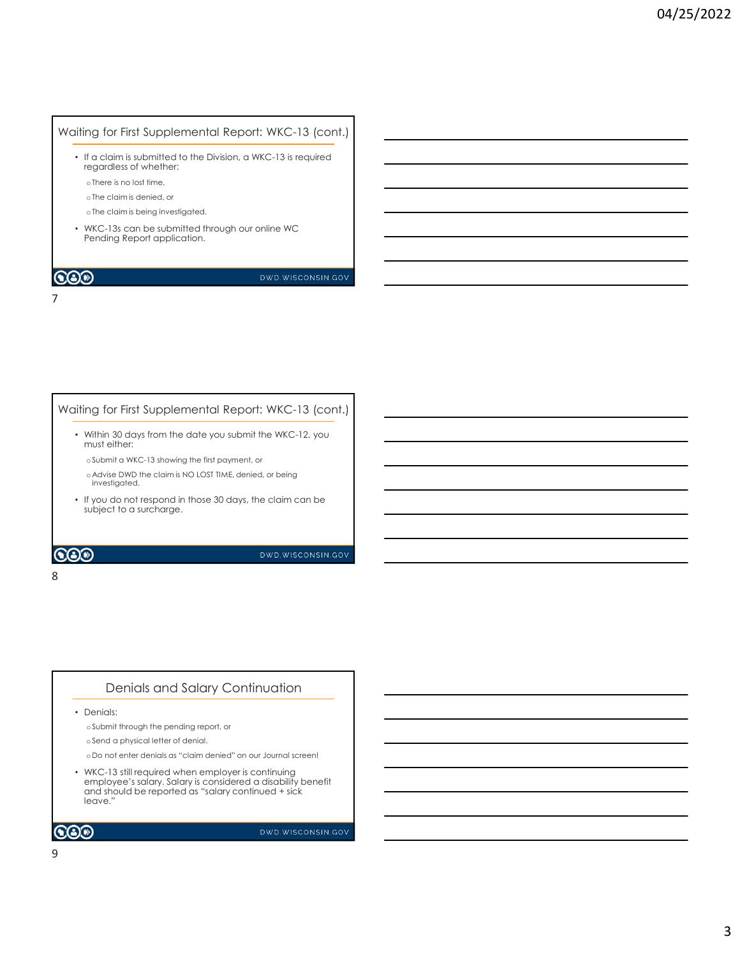#### Waiting for First Supplemental Report: WKC-13 (cont.)

- If a claim is submitted to the Division, a WKC-13 is required regardless of whether:
	- oThere is no lost time,
	- oThe claim is denied, or
	- oThe claim is being investigated.

7

• WKC-13s can be submitted through our online WC Pending Report application.

#### $\mathbf{CO}\mathcal{D}$

#### DWD.WISCONSIN.GOV

### • Within 30 days from the date you submit the WKC-12, you must either: Waiting for First Supplemental Report: WKC-13 (cont.)

oSubmit a WKC-13 showing the first payment, or

- o Advise DWD the claim is NO LOST TIME, denied, or being investigated.
- If you do not respond in those 30 days, the claim can be subject to a surcharge.

#### $\bigcircledS$

DWD.WISCONSIN.GOV

#### 8 and 2010 and 2010 and 2010 and 2010 and 2010 and 2010 and 2010 and 2010 and 2010 and 2010 and 2010 and 2010

#### Denials and Salary Continuation

• Denials:

oSubmit through the pending report, or

oSend a physical letter of denial.

o Do not enter denials as "claim denied" on our Journal screen!

• WKC-13 still required when employer is continuing employee's salary. Salary is considered a disability benefit and should be reported as "salary continued + sick leave."

```
\mathbf{CO}\mathcal{D}
```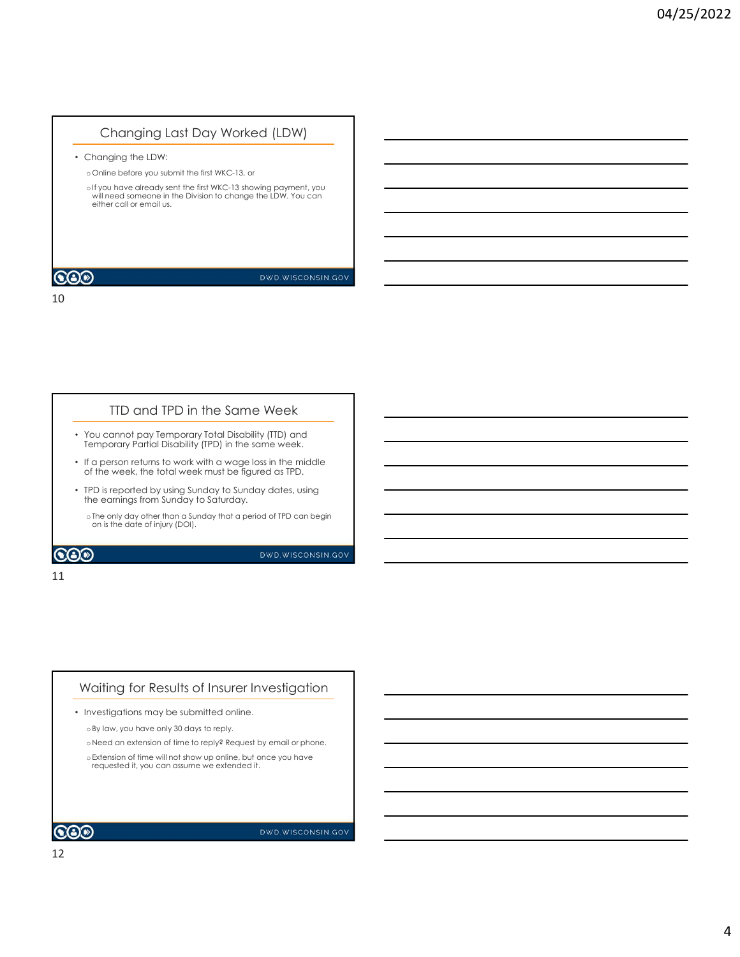### Changing Last Day Worked (LDW)

• Changing the LDW:

o Online before you submit the first WKC-13, or

10

oIf you have already sent the first WKC-13 showing payment, you  $\overline{\hspace{1.5cm}}$ either call or email us.

**COD** 

DWD.WISCONSIN.GOV

#### TTD and TPD in the Same Week

- You cannot pay Temporary Total Disability (TTD) and Temporary Partial Disability (TPD) in the same week.
- If a person returns to work with a wage loss in the middle of the week, the total week must be figured as TPD.
- TPD is reported by using Sunday to Sunday dates, using the earnings from Sunday to Saturday.
- oThe only day other than a Sunday that a period of TPD can begin  $\overline{\phantom{a}}$   $\overline{\phantom{a}}$

**COD** 

DWD.WISCONSIN.GOV

#### 11

### Waiting for Results of Insurer Investigation

• Investigations may be submitted online.

oBy law, you have only 30 days to reply.

o Need an extension of time to reply? Request by email or phone.

o Extension of time will not show up online, but once you have  $r = 0$  . The sequested it, you can assume we extended it.

 $\mathbf{CO}$ 

DWD.WISCONSIN.GOV

12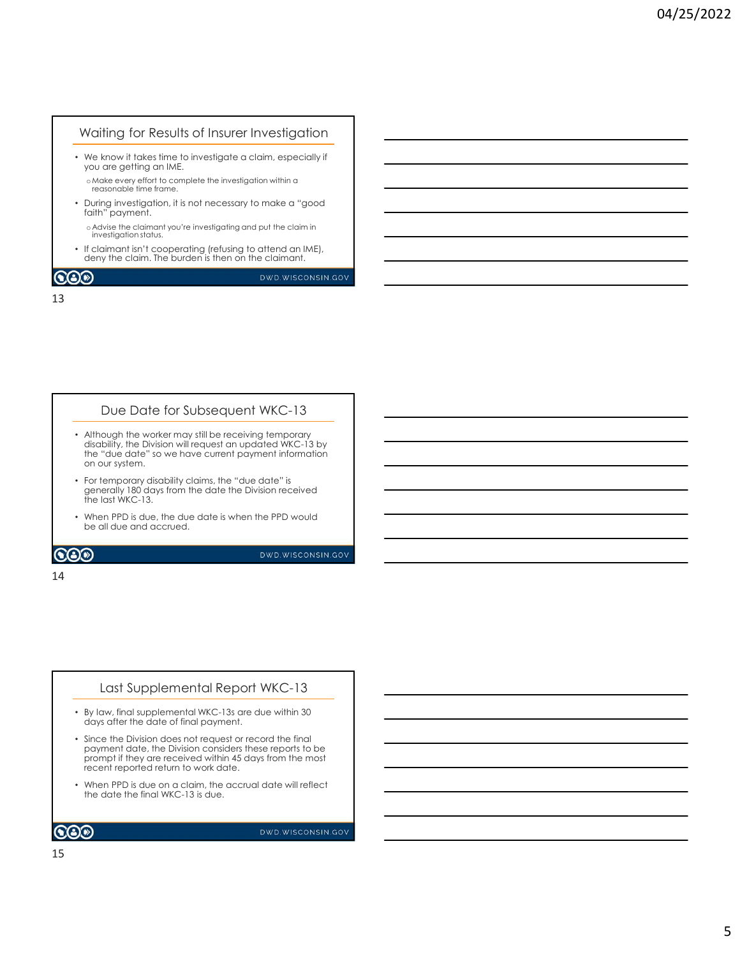#### Waiting for Results of Insurer Investigation

• We know it takes time to investigate a claim, especially if you are getting an IME.

oMake every effort to complete the investigation within a reasonable time frame.

• During investigation, it is not necessary to make a "good faith" payment.

o Advise the claimant you're investigating and put the claim in investigation status.

• If claimant isn't cooperating (refusing to attend an IME), deny the claim. The burden is then on the claimant.

 $\mathbf{CO}$ 

DWD.WISCONSIN.GOV

13

#### Due Date for Subsequent WKC-13

- Although the worker may still be receiving temporary disability, the Division will request an updated WKC-13 by the "due date" so we have current payment information on our system.
- For temporary disability claims, the "due date" is generally 180 days from the date the Division received the last WKC-13.
- When PPD is due, the due date is when the PPD would be all due and accrued.

#### **COD**

DWD.WISCONSIN.GOV

#### 14

#### Last Supplemental Report WKC-13

- By law, final supplemental WKC-13s are due within 30 days after the date of final payment.
- Since the Division does not request or record the final payment date, the Division considers these reports to be prompt if they are received within 45 days from the most recent reported return to work date.
- When PPD is due on a claim, the accrual date will reflect the date the final WKC-13 is due.

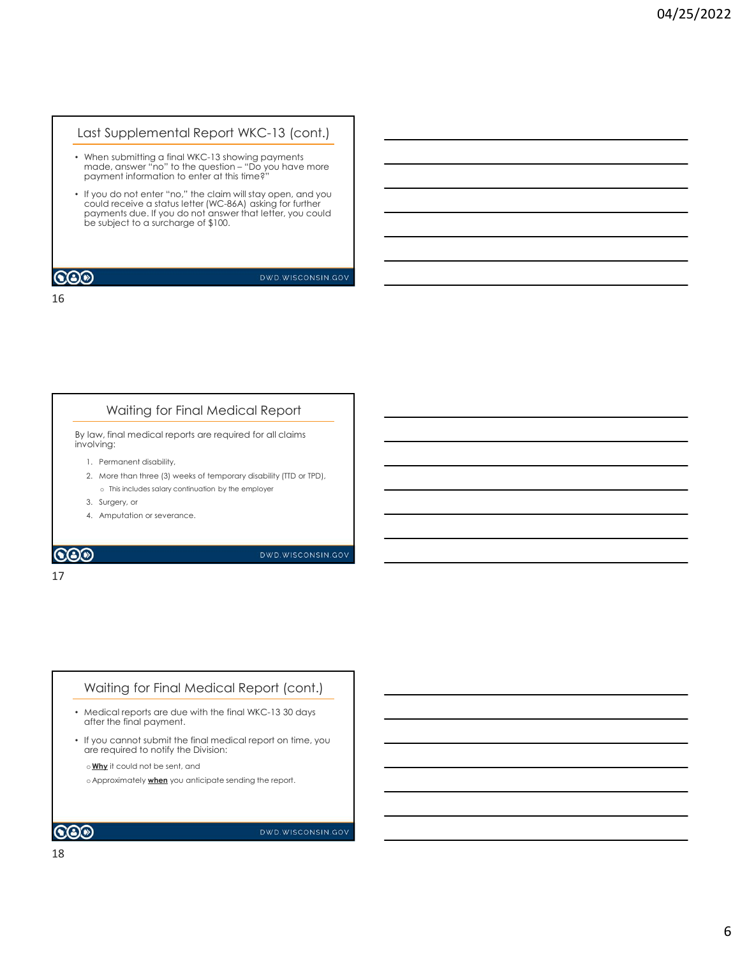#### Last Supplemental Report WKC-13 (cont.)

- When submitting a final WKC-13 showing payments payment information to enter at this time?"
- rest Supplemental Report WKC-13 (cont.)<br>
When submitting a final WKC-13 showing payments<br>
made, answer "no" to the question "Do you have more<br>
payment information to enter at this times"<br>
If you do not enter "no." the cl • If you do not enter "no," the claim will stay open, and you could receive a status letter (WC-86A) asking for further payments due. If you do not answer that letter, you could be subject to a surcharge of \$100. Mhen submitting a final WKC-13 showing payments<br>nade, answer "no" to the question - "Do you have more<br>opyrment information to enter this time g<sup>2</sup><br>opyrments due to the re-inc." the calim will stary open, and you<br>could rece World in the specifical temporary disability (TD and the continued particular temporary displacement in formulation to enter the matrix list lime  $\hat{e}^2$ .<br>
The specifical temporary displacement in the employer of the emp If you do not enter "no." the claim will stay open, and you<br>could receive a status lefter (WC-88A) esking for further<br>operators of a succession of a sure that is the cyclosical conditions.<br>Subject to a succession of  $\frac{1}{$ Amputation or server a statistical reformation or server that is the statistical conditions of a subject to a surchange of \$100.<br>
Amputation or several for the statistical research or several for the server of \$100.<br>
Amput

16

#### Waiting for Final Medical Report

By law, final medical reports are required for all claims involving:

- 
- 
- 
- 
- 

17

#### Waiting for Final Medical Report (cont.)

- Medical reports are due with the final WKC-13 30 days after the final payment.
- If you cannot submit the final medical report on time, you are required to notify the Division:

o Why it could not be sent, and

o Approximately **when** you anticipate sending the report.

#### $\bigcircledS$

DWD.WISCONSIN.GOV

18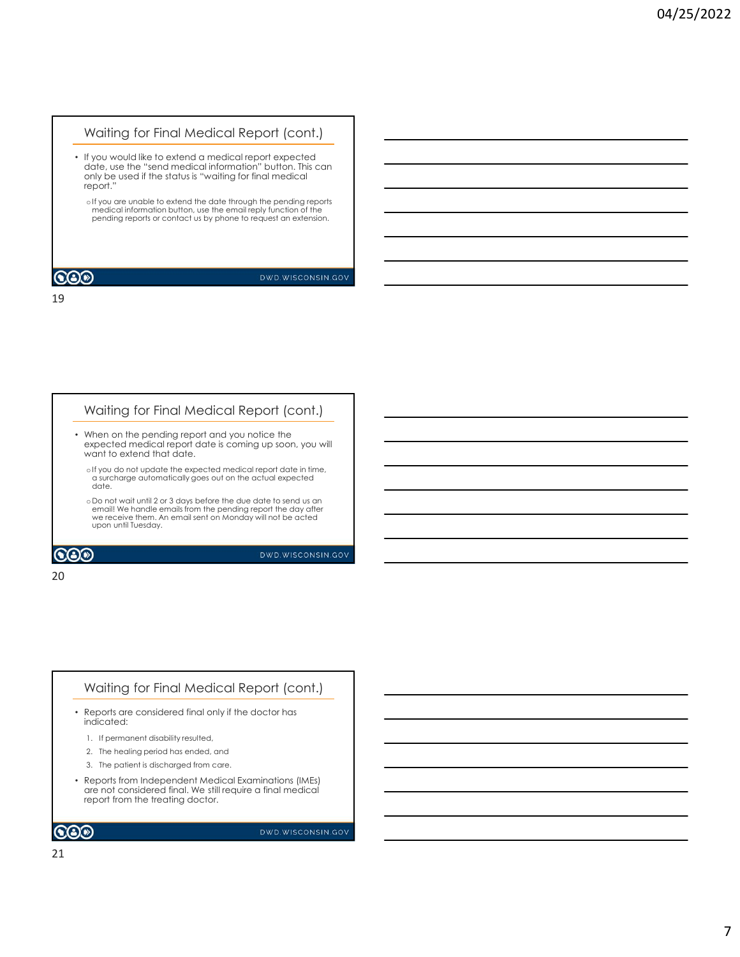#### Waiting for Final Medical Report (cont.)

• If you would like to extend a medical report expected date, use the "send medical information" button. This can only be used if the status is "waiting for final medical report."

oIf you are unable to extend the date through the pending reports<br>medical information button, use the email reply function of the pending reports or contact us by phone to request an extension.

#### **COO**

#### DWD.WISCONSIN.GOV

19

#### Waiting for Final Medical Report (cont.)

- When on the pending report and you notice the expected medical report date is coming up soon, you will want to extend that date.
	- oIf you do not update the expected medical report date in time, a surcharge automatically goes out on the actual expected date.
- o Do not wait until 2 or 3 days before the due date to send us an email! We handle emails from the pending report the day after we receive them. An email sent on Monday will not be acted upon until Tuesday. Mhen on the pending report and you notice the<br>syspected medical report date is coming up soon, you will<br>exity us on ot update the executed medical report date in line,<br>a such age another detect and call and the line,<br>a suc When on the pending report and you notice the<br>
women of period medicinal charge of any control of the second and the hime.<br>
Silve work of the distribution of the second medicinal capacities in the capacity<br>
date,<br>
a date,<br>

20

### Waiting for Final Medical Report (cont.)

- Reports are considered final only if the doctor has indicated:
	-
	-
	-
- state of the patient is discharged from care.<br>
3. The patient is discharged from care and the patient of discharged from care and the scharged from care of<br>
1. The patient Medical Examinations from the scharged from the sc are not considered final. We still require a final medical report from the treating doctor.

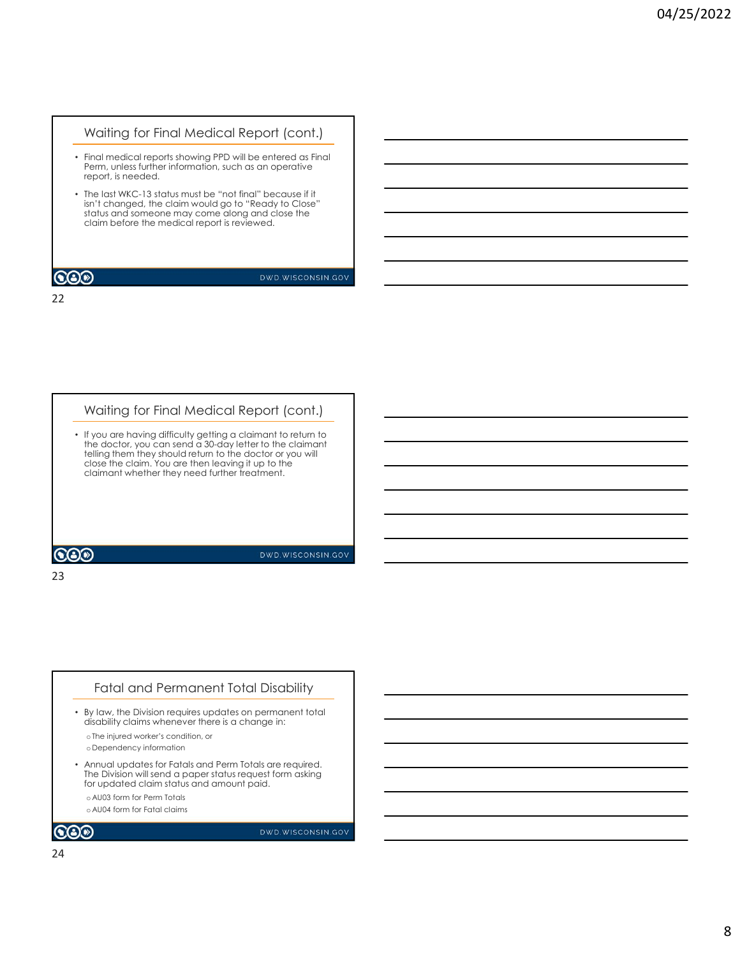#### Waiting for Final Medical Report (cont.)

- Final medical reports showing PPD will be entered as Final Perm, unless further information, such as an operative report, is needed.
- The last WKC-13 status must be "not final" because if it isn't changed, the claim would go to "Ready to Close" status and someone may come along and close the claim before the medical report is reviewed.

#### **COO**

#### DWD.WISCONSIN.GOV

22

### Waiting for Final Medical Report (cont.)

• If you are having difficulty getting a claimant to return to<br>the doctor, you can send a 30-day letter to the claimant<br>telling them they should return to the doctor or you will<br>close the claim, You are then leaving it up Fering them they are build resolution to the discrete or you will all the control of the control of the control of the control of the control of the control of the control of the control of the control of the control of th

23

#### Fatal and Permanent Total Disability

- By law, the Division requires updates on permanent total disability claims whenever there is a change in:
	- oThe injured worker's condition, or o Dependency information
- Annual updates for Fatals and Perm Totals are required.<br>The Division will send a paper status request form asking for updated claim status and amount paid.
- o AU03 form for Perm Totals
- o AU04 form for Fatal claims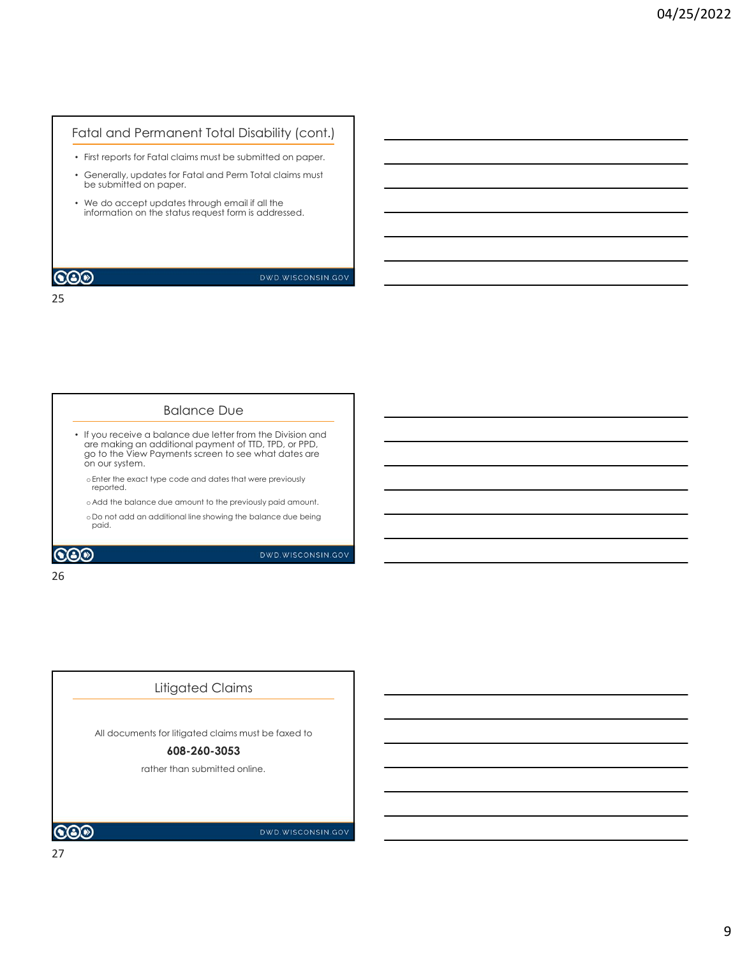#### Fatal and Permanent Total Disability (cont.)

- First reports for Fatal claims must be submitted on paper.
- Generally, updates for Fatal and Perm Total claims must be submitted on paper.
- We do accept updates through email if all the information on the status request form is addressed.

#### **COD**

#### DWD.WISCONSIN.GOV

25

#### Balance Due

- If you receive a balance due letter from the Division and are making an additional payment of TTD, TPD, or PPD, go to the View Payments screen to see what dates are on our system.
	- oEnter the exact type code and dates that were previously reported.
	- o Add the balance due amount to the previously paid amount.
	- o Do not add an additional line showing the balance due being paid.

**COD** 

DWD.WISCONSIN.GOV

#### 26 and the contract of the contract of the contract of the contract of the contract of the contract of the contract of the contract of the contract of the contract of the contract of the contract of the contract of the con

## All documents for litigated claims must be faxed to Litigated Claims

#### 608-260-3053

rather than submitted online.

 $\odot$ o

DWD.WISCONSIN.GOV

27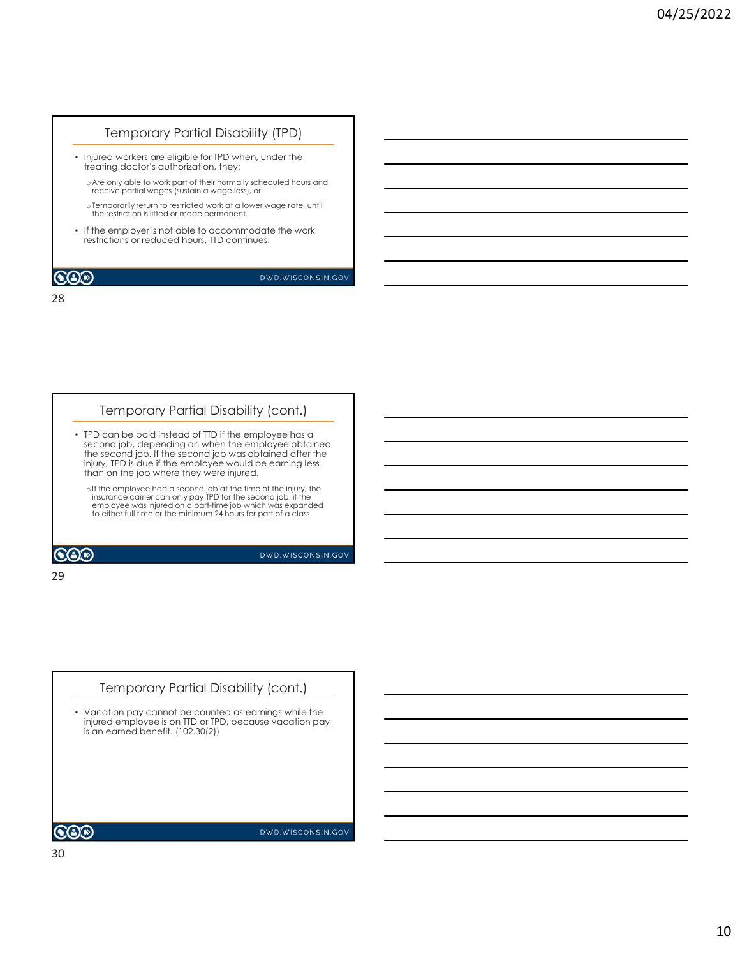### Temporary Partial Disability (TPD)

- Injured workers are eligible for TPD when, under the treating doctor's authorization, they:
	- o Are only able to work part of their normally scheduled hours and receive partial wages (sustain a wage loss), or
	- oTemporarily return to restricted work at a lower wage rate, until  $\overline{\phantom{a}}$
- If the employer is not able to accommodate the work restrictions or reduced hours, TTD continues.

#### **COD**

#### DWD.WISCONSIN.GOV

28

#### Temporary Partial Disability (cont.)

- TPD can be paid instead of TTD if the employee has a second job, depending on when the employee obtained the second job. If the second job was obtained after the injury, TPD is due if the employee would be earning less than on the job where they were injured.
	- oIf the employee had a second job at the time of the injury, the  $\overline{\hspace{1.5cm}}$   $\overline{\hspace{1.5cm}}$   $\overline{\hspace{1.5cm}}$   $\overline{\hspace{1.5cm}}$   $\overline{\hspace{1.5cm}}$   $\overline{\hspace{1.5cm}}$   $\overline{\hspace{1.5cm}}$   $\overline{\hspace{1.5cm}}$   $\overline{\hspace{1.5cm}}$   $\overline{\hspace{1.5cm}}$   $\overline{\hspace$ employee was injured on a part-time job which was expanded to either full time or the minimum 24 hours for part of a class.

**COD** 

DWD.WISCONSIN.GOV

#### 29

# • Vacation pay cannot be counted as earnings while the injured employee is on TTD or TPD, because vacation pay is an earned benefit. (102.30(2)) Temporary Partial Disability (cont.)

DWD.WISCONSIN.GOV

 $\bigcircledS$